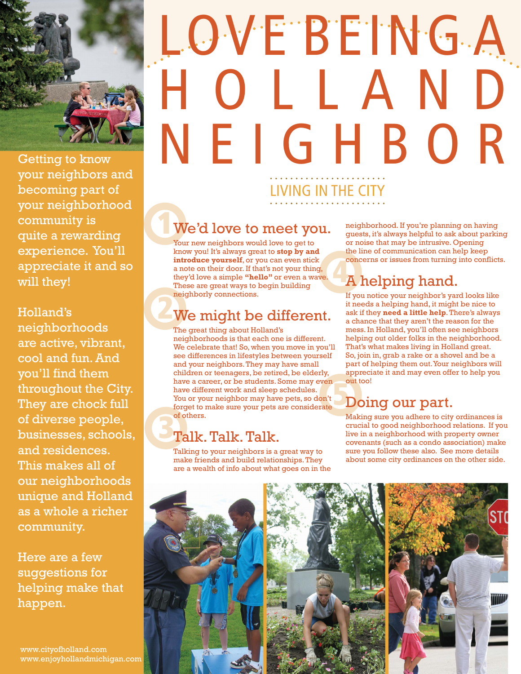

Getting to know your neighbors and becoming part of your neighborhood community is quite a rewarding experience. You'll appreciate it and so will they!

Holland's neighborhoods are active, vibrant, cool and fun. And you'll find them throughout the City. They are chock full of diverse people, businesses, schools, and residences. This makes all of our neighborhoods unique and Holland as a whole a richer community.

Here are a few suggestions for helping make that happen.

www.cityofholland.com www.enjoyhollandmichigan.com

## LOVE BEING A H O L L A N D NEIGHBOR LIVING IN THE CITY

#### 1 We'd love to meet you.

Your new neighbors would love to get to know you! It's always great to **stop by and introduce yourself**, or you can even stick a note on their door. If that's not your thing, they'd love a simple **"hello"** or even a wave. These are great ways to begin building neighborly connections.

#### 2 We might be different.

The great thing about Holland's neighborhoods is that each one is different. We celebrate that! So, when you move in you'll see differences in lifestyles between yourself and your neighbors. They may have small children or teenagers, be retired, be elderly, have a career, or be students. Some may even have different work and sleep schedules. You or your neighbor may have pets, so don't forget to make sure your pets are considerate of others.

#### 3 Talk. Talk. Talk.

Talking to your neighbors is a great way to make friends and build relationships. They are a wealth of info about what goes on in the neighborhood. If you're planning on having guests, it's always helpful to ask about parking or noise that may be intrusive. Opening the line of communication can help keep concerns or issues from turning into conflicts.

## **4 A helping hand.**

If you notice your neighbor's yard looks like it needs a helping hand, it might be nice to ask if they **need a little help**. There's always a chance that they aren't the reason for the mess. In Holland, you'll often see neighbors helping out older folks in the neighborhood. That's what makes living in Holland great. So, join in, grab a rake or a shovel and be a part of helping them out. Your neighbors will appreciate it and may even offer to help you out too!

### **Doing our part.**

Making sure you adhere to city ordinances is crucial to good neighborhood relations. If you live in a neighborhood with property owner covenants (such as a condo association) make sure you follow these also. See more details about some city ordinances on the other side.